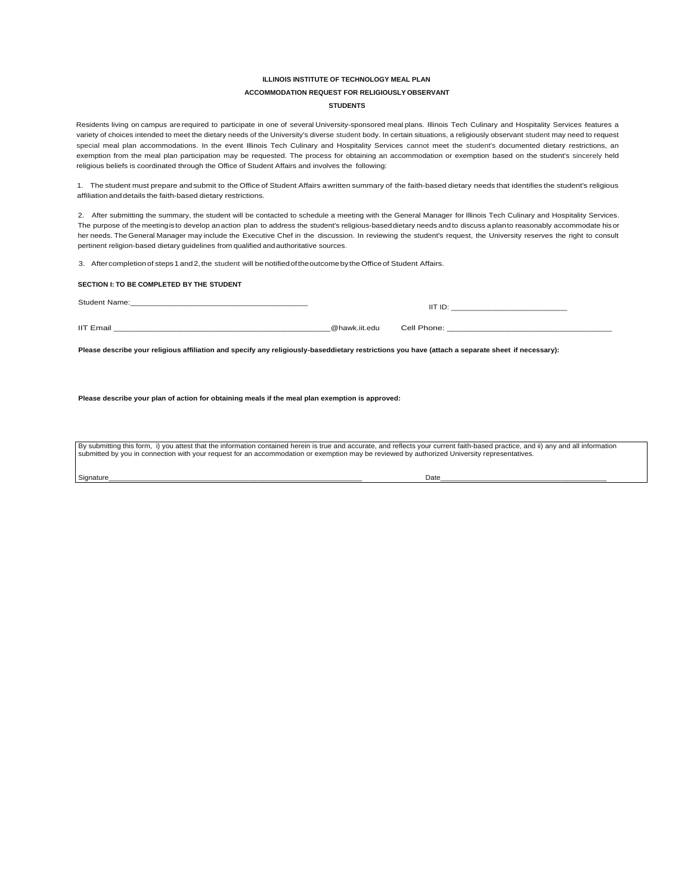# **ILLINOIS INSTITUTE OF TECHNOLOGY MEAL PLAN ACCOMMODATION REQUEST FOR RELIGIOUSLY OBSERVANT STUDENTS**

Residents living on campus are required to participate in one of several University-sponsored meal plans. Illinois Tech Culinary and Hospitality Services features a variety of choices intended to meet the dietary needs of the University's diverse student body. In certain situations, a religiously observant student may need to request special meal plan accommodations. In the event Illinois Tech Culinary and Hospitality Services cannot meet the student's documented dietary restrictions, an exemption from the meal plan participation may be requested. The process for obtaining an accommodation or exemption based on the student's sincerely held religious beliefs is coordinated through the Office of Student Affairs and involves the following:

1. The student must prepare and submit to the Office of Student Affairs awritten summary of the faith-based dietary needs that identifies the student's religious affiliation anddetails the faith-based dietary restrictions.

2. After submitting the summary, the student will be contacted to schedule a meeting with the General Manager for Illinois Tech Culinary and Hospitality Services. The purpose of the meetingisto develop anaction plan to address the student's religious-baseddietary needs and to discuss aplanto reasonably accommodate hisor her needs. The General Manager may include the Executive Chef in the discussion. In reviewing the student's request, the University reserves the right to consult pertinent religion-based dietary guidelines from qualified and authoritative sources.

3. After completion of steps 1 and 2, the student will be notified of the outcome by the Office of Student Affairs.

### **SECTION I: TO BE COMPLETED BY THE STUDENT**

Student Name:\_\_\_\_\_\_\_\_\_\_\_\_\_\_\_\_\_\_\_\_\_\_\_\_\_\_\_\_\_\_\_\_\_\_\_\_\_\_\_\_\_

IIT ID: \_\_\_\_\_\_\_\_\_\_\_\_\_\_\_\_\_\_\_\_\_\_\_\_\_\_\_\_

IIT Email \_\_\_\_\_\_\_\_\_\_\_\_\_\_\_\_\_\_\_\_\_\_\_\_\_\_\_\_\_\_\_\_\_\_\_\_\_\_\_\_\_\_\_\_\_\_@hawk.iit.edu Cell Phone: \_\_\_\_\_\_\_\_\_\_\_\_\_\_\_\_\_\_\_\_\_\_\_\_\_\_\_\_\_\_\_\_\_\_\_

**Please describe your religious affiliation and specify any religiously-baseddietary restrictions you have (attach a separate sheet if necessary):**

**Please describe your plan of action for obtaining meals if the meal plan exemption is approved:**

By submitting this form, i) you attest that the information contained herein is true and accurate, and reflects your current faith-based practice, and ii) any and all information submitted by you in connection with your request for an accommodation or exemption may be reviewed by authorized University representatives.